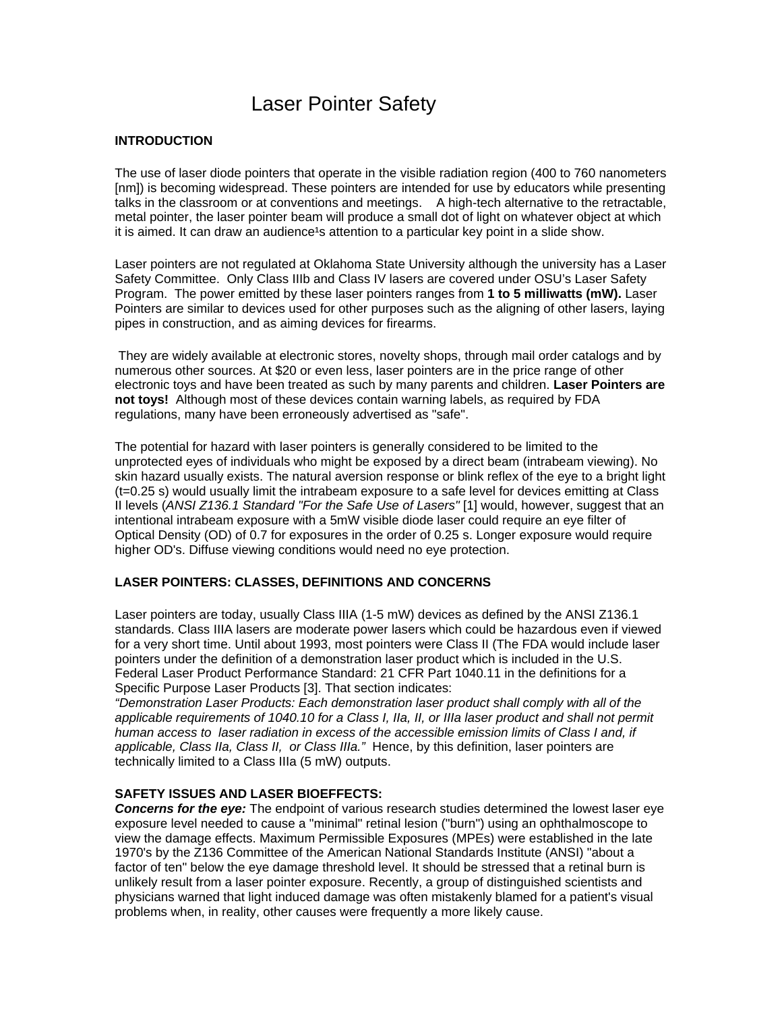# Laser Pointer Safety

## **INTRODUCTION**

The use of laser diode pointers that operate in the visible radiation region (400 to 760 nanometers [nm]) is becoming widespread. These pointers are intended for use by educators while presenting talks in the classroom or at conventions and meetings. A high-tech alternative to the retractable, metal pointer, the laser pointer beam will produce a small dot of light on whatever object at which it is aimed. It can draw an audience<sup>1</sup>s attention to a particular key point in a slide show.

Laser pointers are not regulated at Oklahoma State University although the university has a Laser Safety Committee. Only Class IIIb and Class IV lasers are covered under OSU's Laser Safety Program. The power emitted by these laser pointers ranges from **1 to 5 milliwatts (mW).** Laser Pointers are similar to devices used for other purposes such as the aligning of other lasers, laying pipes in construction, and as aiming devices for firearms.

 They are widely available at electronic stores, novelty shops, through mail order catalogs and by numerous other sources. At \$20 or even less, laser pointers are in the price range of other electronic toys and have been treated as such by many parents and children. **Laser Pointers are not toys!** Although most of these devices contain warning labels, as required by FDA regulations, many have been erroneously advertised as "safe".

The potential for hazard with laser pointers is generally considered to be limited to the unprotected eyes of individuals who might be exposed by a direct beam (intrabeam viewing). No skin hazard usually exists. The natural aversion response or blink reflex of the eye to a bright light (t=0.25 s) would usually limit the intrabeam exposure to a safe level for devices emitting at Class II levels (*ANSI Z136.1 Standard "For the Safe Use of Lasers"* [1] would, however, suggest that an intentional intrabeam exposure with a 5mW visible diode laser could require an eye filter of Optical Density (OD) of 0.7 for exposures in the order of 0.25 s. Longer exposure would require higher OD's. Diffuse viewing conditions would need no eye protection.

## **LASER POINTERS: CLASSES, DEFINITIONS AND CONCERNS**

Laser pointers are today, usually Class IIIA (1-5 mW) devices as defined by the ANSI Z136.1 standards. Class IIIA lasers are moderate power lasers which could be hazardous even if viewed for a very short time. Until about 1993, most pointers were Class II (The FDA would include laser pointers under the definition of a demonstration laser product which is included in the U.S. Federal Laser Product Performance Standard: 21 CFR Part 1040.11 in the definitions for a Specific Purpose Laser Products [3]. That section indicates:

*"Demonstration Laser Products: Each demonstration laser product shall comply with all of the applicable requirements of 1040.10 for a Class I, IIa, II, or IIIa laser product and shall not permit*  human access to laser radiation in excess of the accessible emission limits of Class I and, if *applicable, Class IIa, Class II, or Class IIIa."* Hence, by this definition, laser pointers are technically limited to a Class IIIa (5 mW) outputs.

#### **SAFETY ISSUES AND LASER BIOEFFECTS:**

*Concerns for the eye:* The endpoint of various research studies determined the lowest laser eye exposure level needed to cause a "minimal" retinal lesion ("burn") using an ophthalmoscope to view the damage effects. Maximum Permissible Exposures (MPEs) were established in the late 1970's by the Z136 Committee of the American National Standards Institute (ANSI) "about a factor of ten" below the eye damage threshold level. It should be stressed that a retinal burn is unlikely result from a laser pointer exposure. Recently, a group of distinguished scientists and physicians warned that light induced damage was often mistakenly blamed for a patient's visual problems when, in reality, other causes were frequently a more likely cause.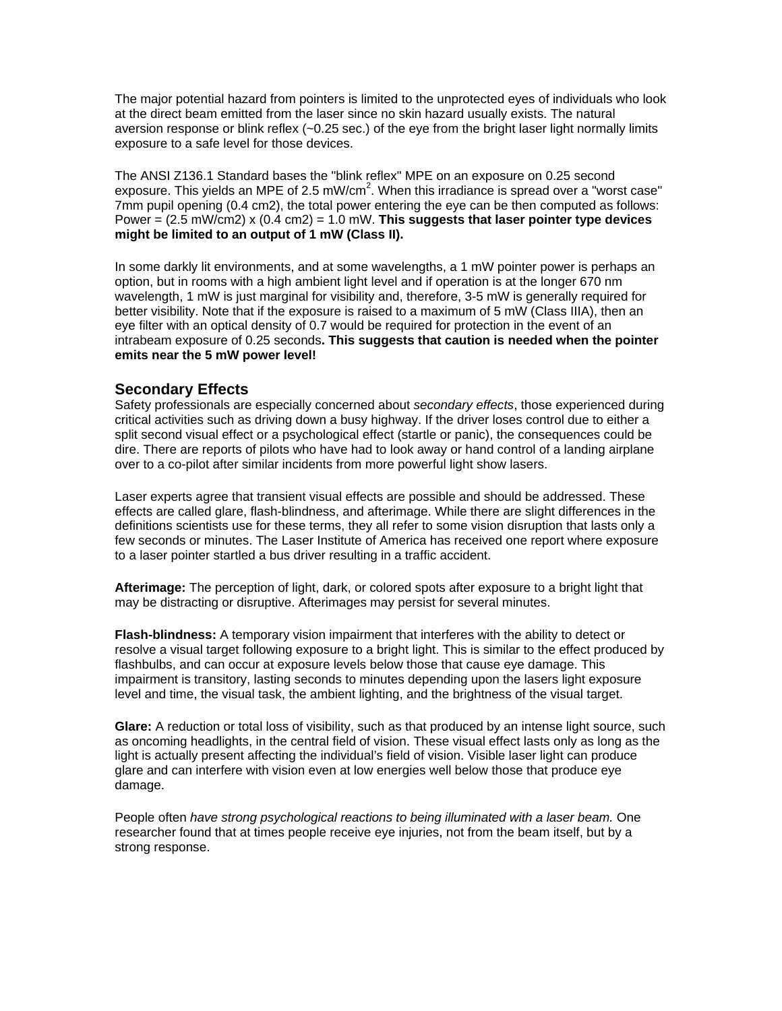The major potential hazard from pointers is limited to the unprotected eyes of individuals who look at the direct beam emitted from the laser since no skin hazard usually exists. The natural aversion response or blink reflex (~0.25 sec.) of the eye from the bright laser light normally limits exposure to a safe level for those devices.

The ANSI Z136.1 Standard bases the "blink reflex" MPE on an exposure on 0.25 second exposure. This yields an MPE of 2.5 mW/cm<sup>2</sup>. When this irradiance is spread over a "worst case" 7mm pupil opening (0.4 cm2), the total power entering the eye can be then computed as follows: Power = (2.5 mW/cm2) x (0.4 cm2) = 1.0 mW. **This suggests that laser pointer type devices might be limited to an output of 1 mW (Class II).** 

In some darkly lit environments, and at some wavelengths, a 1 mW pointer power is perhaps an option, but in rooms with a high ambient light level and if operation is at the longer 670 nm wavelength, 1 mW is just marginal for visibility and, therefore, 3-5 mW is generally required for better visibility. Note that if the exposure is raised to a maximum of 5 mW (Class IIIA), then an eye filter with an optical density of 0.7 would be required for protection in the event of an intrabeam exposure of 0.25 seconds**. This suggests that caution is needed when the pointer emits near the 5 mW power level!** 

# **Secondary Effects**

Safety professionals are especially concerned about *secondary effects*, those experienced during critical activities such as driving down a busy highway. If the driver loses control due to either a split second visual effect or a psychological effect (startle or panic), the consequences could be dire. There are reports of pilots who have had to look away or hand control of a landing airplane over to a co-pilot after similar incidents from more powerful light show lasers.

Laser experts agree that transient visual effects are possible and should be addressed. These effects are called glare, flash-blindness, and afterimage. While there are slight differences in the definitions scientists use for these terms, they all refer to some vision disruption that lasts only a few seconds or minutes. The Laser Institute of America has received one report where exposure to a laser pointer startled a bus driver resulting in a traffic accident.

**Afterimage:** The perception of light, dark, or colored spots after exposure to a bright light that may be distracting or disruptive. Afterimages may persist for several minutes.

**Flash-blindness:** A temporary vision impairment that interferes with the ability to detect or resolve a visual target following exposure to a bright light. This is similar to the effect produced by flashbulbs, and can occur at exposure levels below those that cause eye damage. This impairment is transitory, lasting seconds to minutes depending upon the lasers light exposure level and time, the visual task, the ambient lighting, and the brightness of the visual target.

**Glare:** A reduction or total loss of visibility, such as that produced by an intense light source, such as oncoming headlights, in the central field of vision. These visual effect lasts only as long as the light is actually present affecting the individual's field of vision. Visible laser light can produce glare and can interfere with vision even at low energies well below those that produce eye damage.

People often *have strong psychological reactions to being illuminated with a laser beam.* One researcher found that at times people receive eye injuries, not from the beam itself, but by a strong response.